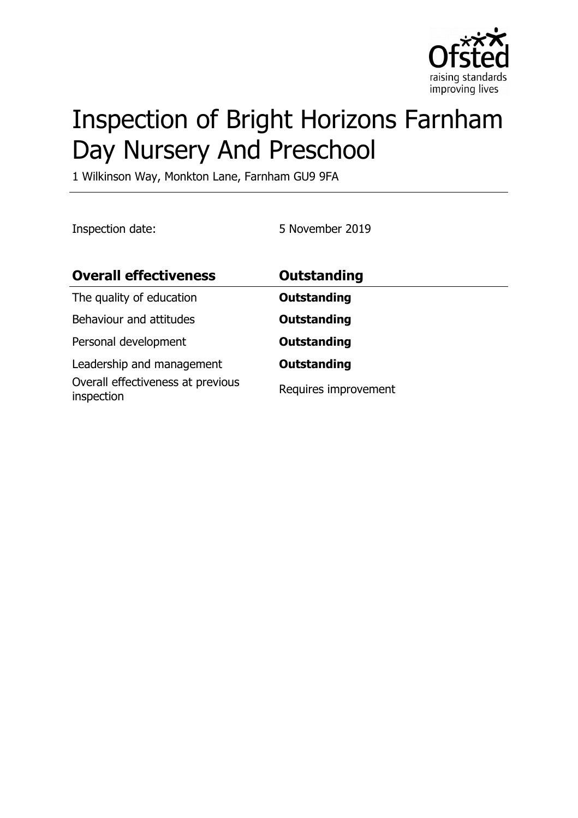

# Inspection of Bright Horizons Farnham Day Nursery And Preschool

1 Wilkinson Way, Monkton Lane, Farnham GU9 9FA

Inspection date: 5 November 2019

| <b>Overall effectiveness</b>                                                 | <b>Outstanding</b>                         |
|------------------------------------------------------------------------------|--------------------------------------------|
| The quality of education                                                     | <b>Outstanding</b>                         |
| Behaviour and attitudes                                                      | <b>Outstanding</b>                         |
| Personal development                                                         | <b>Outstanding</b>                         |
| Leadership and management<br>Overall effectiveness at previous<br>inspection | <b>Outstanding</b><br>Requires improvement |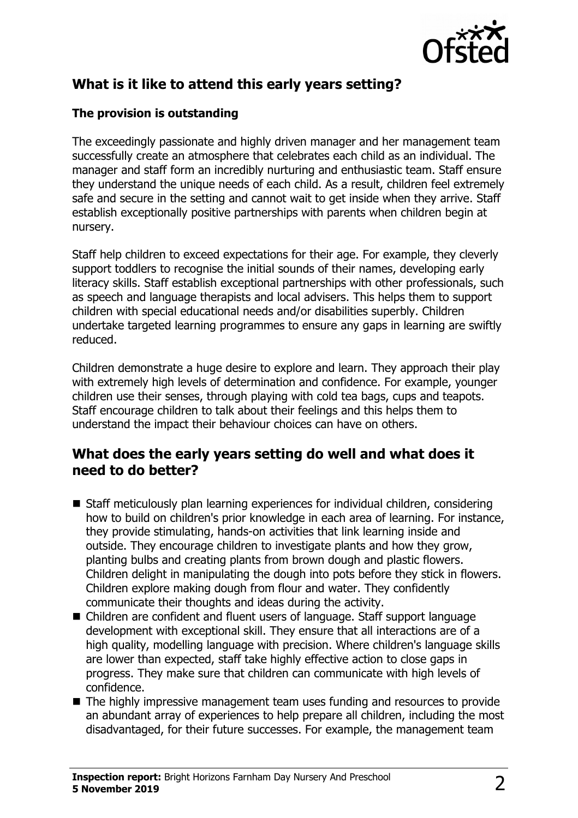

# **What is it like to attend this early years setting?**

#### **The provision is outstanding**

The exceedingly passionate and highly driven manager and her management team successfully create an atmosphere that celebrates each child as an individual. The manager and staff form an incredibly nurturing and enthusiastic team. Staff ensure they understand the unique needs of each child. As a result, children feel extremely safe and secure in the setting and cannot wait to get inside when they arrive. Staff establish exceptionally positive partnerships with parents when children begin at nursery.

Staff help children to exceed expectations for their age. For example, they cleverly support toddlers to recognise the initial sounds of their names, developing early literacy skills. Staff establish exceptional partnerships with other professionals, such as speech and language therapists and local advisers. This helps them to support children with special educational needs and/or disabilities superbly. Children undertake targeted learning programmes to ensure any gaps in learning are swiftly reduced.

Children demonstrate a huge desire to explore and learn. They approach their play with extremely high levels of determination and confidence. For example, younger children use their senses, through playing with cold tea bags, cups and teapots. Staff encourage children to talk about their feelings and this helps them to understand the impact their behaviour choices can have on others.

#### **What does the early years setting do well and what does it need to do better?**

- Staff meticulously plan learning experiences for individual children, considering how to build on children's prior knowledge in each area of learning. For instance, they provide stimulating, hands-on activities that link learning inside and outside. They encourage children to investigate plants and how they grow, planting bulbs and creating plants from brown dough and plastic flowers. Children delight in manipulating the dough into pots before they stick in flowers. Children explore making dough from flour and water. They confidently communicate their thoughts and ideas during the activity.
- $\blacksquare$  Children are confident and fluent users of language. Staff support language development with exceptional skill. They ensure that all interactions are of a high quality, modelling language with precision. Where children's language skills are lower than expected, staff take highly effective action to close gaps in progress. They make sure that children can communicate with high levels of confidence.
- $\blacksquare$  The highly impressive management team uses funding and resources to provide an abundant array of experiences to help prepare all children, including the most disadvantaged, for their future successes. For example, the management team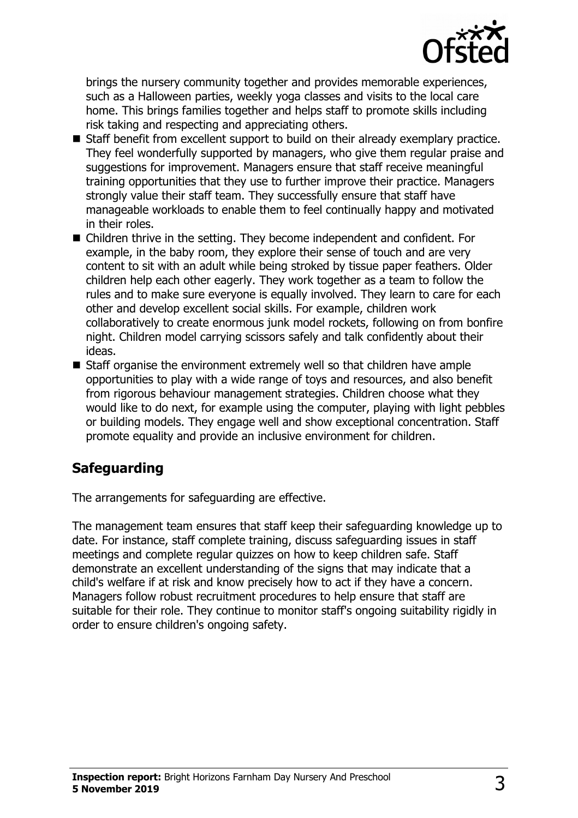

brings the nursery community together and provides memorable experiences, such as a Halloween parties, weekly yoga classes and visits to the local care home. This brings families together and helps staff to promote skills including risk taking and respecting and appreciating others.

- Staff benefit from excellent support to build on their already exemplary practice. They feel wonderfully supported by managers, who give them regular praise and suggestions for improvement. Managers ensure that staff receive meaningful training opportunities that they use to further improve their practice. Managers strongly value their staff team. They successfully ensure that staff have manageable workloads to enable them to feel continually happy and motivated in their roles.
- $\blacksquare$  Children thrive in the setting. They become independent and confident. For example, in the baby room, they explore their sense of touch and are very content to sit with an adult while being stroked by tissue paper feathers. Older children help each other eagerly. They work together as a team to follow the rules and to make sure everyone is equally involved. They learn to care for each other and develop excellent social skills. For example, children work collaboratively to create enormous junk model rockets, following on from bonfire night. Children model carrying scissors safely and talk confidently about their ideas.
- Staff organise the environment extremely well so that children have ample opportunities to play with a wide range of toys and resources, and also benefit from rigorous behaviour management strategies. Children choose what they would like to do next, for example using the computer, playing with light pebbles or building models. They engage well and show exceptional concentration. Staff promote equality and provide an inclusive environment for children.

# **Safeguarding**

The arrangements for safeguarding are effective.

The management team ensures that staff keep their safeguarding knowledge up to date. For instance, staff complete training, discuss safeguarding issues in staff meetings and complete regular quizzes on how to keep children safe. Staff demonstrate an excellent understanding of the signs that may indicate that a child's welfare if at risk and know precisely how to act if they have a concern. Managers follow robust recruitment procedures to help ensure that staff are suitable for their role. They continue to monitor staff's ongoing suitability rigidly in order to ensure children's ongoing safety.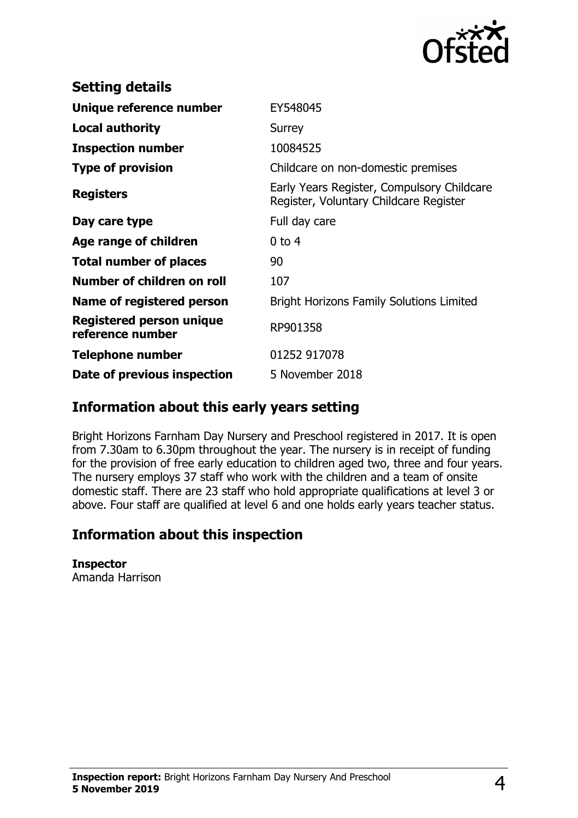

| <b>Setting details</b>                       |                                                                                      |
|----------------------------------------------|--------------------------------------------------------------------------------------|
| Unique reference number                      | EY548045                                                                             |
| Local authority                              | Surrey                                                                               |
| <b>Inspection number</b>                     | 10084525                                                                             |
| <b>Type of provision</b>                     | Childcare on non-domestic premises                                                   |
| <b>Registers</b>                             | Early Years Register, Compulsory Childcare<br>Register, Voluntary Childcare Register |
| Day care type                                | Full day care                                                                        |
| Age range of children                        | $0$ to 4                                                                             |
| <b>Total number of places</b>                | 90                                                                                   |
| Number of children on roll                   | 107                                                                                  |
| Name of registered person                    | <b>Bright Horizons Family Solutions Limited</b>                                      |
| Registered person unique<br>reference number | RP901358                                                                             |
| <b>Telephone number</b>                      | 01252 917078                                                                         |
| Date of previous inspection                  | 5 November 2018                                                                      |

### **Information about this early years setting**

Bright Horizons Farnham Day Nursery and Preschool registered in 2017. It is open from 7.30am to 6.30pm throughout the year. The nursery is in receipt of funding for the provision of free early education to children aged two, three and four years. The nursery employs 37 staff who work with the children and a team of onsite domestic staff. There are 23 staff who hold appropriate qualifications at level 3 or above. Four staff are qualified at level 6 and one holds early years teacher status.

# **Information about this inspection**

#### **Inspector**

Amanda Harrison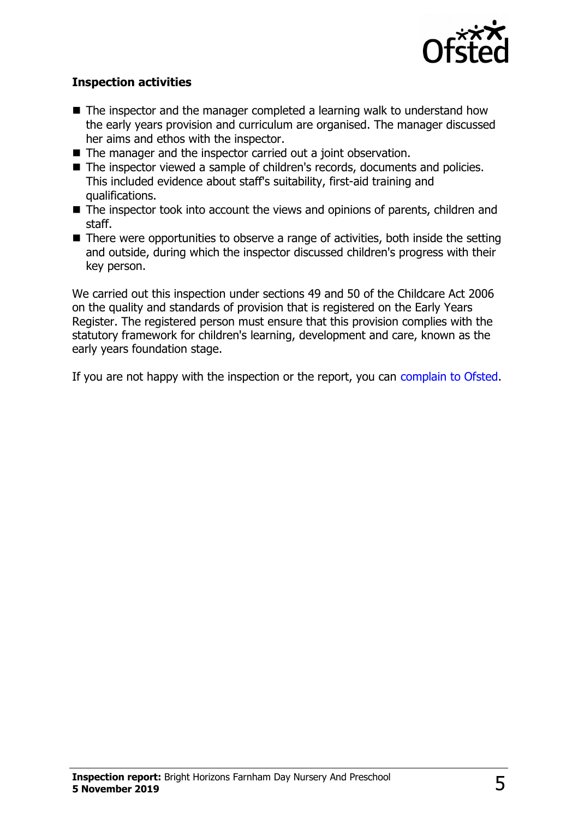

#### **Inspection activities**

- $\blacksquare$  The inspector and the manager completed a learning walk to understand how the early years provision and curriculum are organised. The manager discussed her aims and ethos with the inspector.
- The manager and the inspector carried out a joint observation.
- The inspector viewed a sample of children's records, documents and policies. This included evidence about staff's suitability, first-aid training and qualifications.
- The inspector took into account the views and opinions of parents, children and staff.
- $\blacksquare$  There were opportunities to observe a range of activities, both inside the setting and outside, during which the inspector discussed children's progress with their key person.

We carried out this inspection under sections 49 and 50 of the Childcare Act 2006 on the quality and standards of provision that is registered on the Early Years Register. The registered person must ensure that this provision complies with the statutory framework for children's learning, development and care, known as the early years foundation stage.

If you are not happy with the inspection or the report, you can [complain to Ofsted.](http://www.gov.uk/complain-ofsted-report)